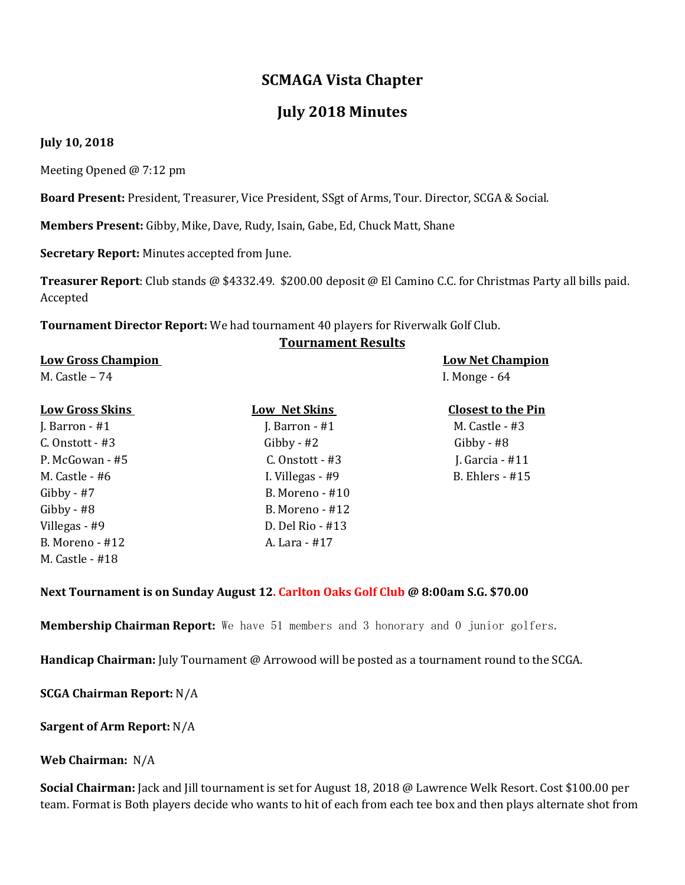# **SCMAGA Vista Chapter**

# **July 2018 Minutes**

### **July 10, 2018**

Meeting Opened @ 7:12 pm

**Board Present:** President, Treasurer, Vice President, SSgt of Arms, Tour. Director, SCGA & Social.

**Members Present:** Gibby, Mike, Dave, Rudy, Isain, Gabe, Ed, Chuck Matt, Shane

**Secretary Report:** Minutes accepted from June.

Gibby - #8 B. Moreno - #12 Villegas - #9 D. Del Rio - #13 B. Moreno - #12 A. Lara - #17

**Treasurer Report**: Club stands @ \$4332.49. \$200.00 deposit @ El Camino C.C. for Christmas Party all bills paid. Accepted

**Tournament Director Report:** We had tournament 40 players for Riverwalk Golf Club.

### **Tournament Results**

| <b>Low Gross Champion</b><br>M. Castle $-74$ |                   | <b>Low Net Champion</b><br>I. Monge $-64$ |
|----------------------------------------------|-------------------|-------------------------------------------|
|                                              |                   |                                           |
| J. Barron $-$ #1                             | J. Barron $-$ #1  | M. Castle $-$ #3                          |
| $C.$ Onstott - #3                            | $Gibby - #2$      | Gibby - $#8$                              |
| P. McGowan - #5                              | $C.$ Onstott - #3 | J. Garcia - $#11$                         |
| M. Castle $-$ #6                             | I. Villegas - #9  | B. Ehlers - $#15$                         |
| $Gibby - #7$                                 | B. Moreno - #10   |                                           |

#### **Next Tournament is on Sunday August 12. Carlton Oaks Golf Club @ 8:00am S.G. \$70.00**

**Membership Chairman Report:** We have 51 members and 3 honorary and 0 junior golfers.

**Handicap Chairman:** July Tournament @ Arrowood will be posted as a tournament round to the SCGA.

**SCGA Chairman Report:** N/A

#### **Sargent of Arm Report:** N/A

#### **Web Chairman:** N/A

M. Castle - #18

**Social Chairman:** Jack and Jill tournament is set for August 18, 2018 @ Lawrence Welk Resort. Cost \$100.00 per team. Format is Both players decide who wants to hit of each from each tee box and then plays alternate shot from